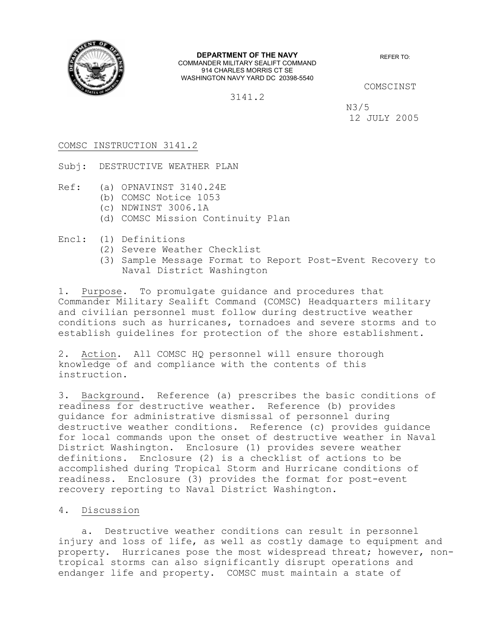

**DEPARTMENT OF THE NAVY**  COMMANDER MILITARY SEALIFT COMMAND 914 CHARLES MORRIS CT SE WASHINGTON NAVY YARD DC 20398-5540

REFER TO:

COMSCINST

3141.2

 N3/5 12 JULY 2005

## COMSC INSTRUCTION 3141.2

Subj: DESTRUCTIVE WEATHER PLAN

# Ref: (a) OPNAVINST 3140.24E

- (b) COMSC Notice 1053
	- (c) NDWINST 3006.1A
	- (d) COMSC Mission Continuity Plan
- Encl: (1) Definitions
	- (2) Severe Weather Checklist
	- (3) Sample Message Format to Report Post-Event Recovery to Naval District Washington

1. Purpose. To promulgate guidance and procedures that Commander Military Sealift Command (COMSC) Headquarters military and civilian personnel must follow during destructive weather conditions such as hurricanes, tornadoes and severe storms and to establish guidelines for protection of the shore establishment.

2. Action. All COMSC HQ personnel will ensure thorough knowledge of and compliance with the contents of this instruction.

3. Background. Reference (a) prescribes the basic conditions of readiness for destructive weather. Reference (b) provides guidance for administrative dismissal of personnel during destructive weather conditions. Reference (c) provides guidance for local commands upon the onset of destructive weather in Naval District Washington. Enclosure (1) provides severe weather definitions. Enclosure (2) is a checklist of actions to be accomplished during Tropical Storm and Hurricane conditions of readiness. Enclosure (3) provides the format for post-event recovery reporting to Naval District Washington.

## 4. Discussion

 a. Destructive weather conditions can result in personnel injury and loss of life, as well as costly damage to equipment and property. Hurricanes pose the most widespread threat; however, nontropical storms can also significantly disrupt operations and endanger life and property. COMSC must maintain a state of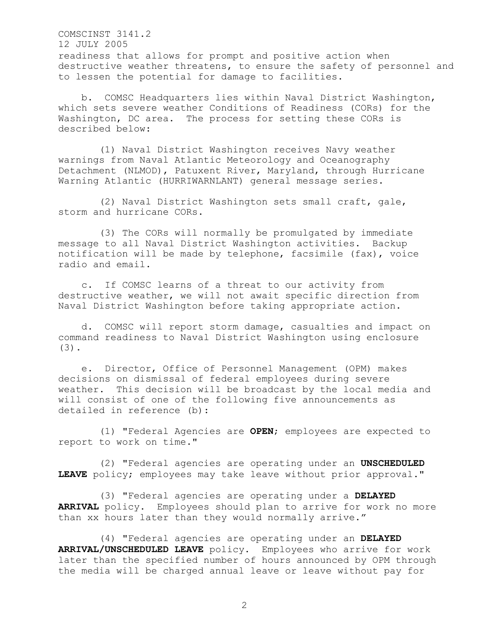COMSCINST 3141.2 12 JULY 2005 readiness that allows for prompt and positive action when destructive weather threatens, to ensure the safety of personnel and to lessen the potential for damage to facilities.

 b. COMSC Headquarters lies within Naval District Washington, which sets severe weather Conditions of Readiness (CORs) for the Washington, DC area. The process for setting these CORs is described below:

 (1) Naval District Washington receives Navy weather warnings from Naval Atlantic Meteorology and Oceanography Detachment (NLMOD), Patuxent River, Maryland, through Hurricane Warning Atlantic (HURRIWARNLANT) general message series.

 (2) Naval District Washington sets small craft, gale, storm and hurricane CORs.

 (3) The CORs will normally be promulgated by immediate message to all Naval District Washington activities. Backup notification will be made by telephone, facsimile (fax), voice radio and email.

 c. If COMSC learns of a threat to our activity from destructive weather, we will not await specific direction from Naval District Washington before taking appropriate action.

 d. COMSC will report storm damage, casualties and impact on command readiness to Naval District Washington using enclosure (3).

 e. Director, Office of Personnel Management (OPM) makes decisions on dismissal of federal employees during severe weather. This decision will be broadcast by the local media and will consist of one of the following five announcements as detailed in reference (b):

 (1) "Federal Agencies are **OPEN**; employees are expected to report to work on time."

 (2) "Federal agencies are operating under an **UNSCHEDULED LEAVE** policy; employees may take leave without prior approval."

 (3) "Federal agencies are operating under a **DELAYED ARRIVAL** policy. Employees should plan to arrive for work no more than xx hours later than they would normally arrive."

 (4) "Federal agencies are operating under an **DELAYED ARRIVAL/UNSCHEDULED LEAVE** policy. Employees who arrive for work later than the specified number of hours announced by OPM through the media will be charged annual leave or leave without pay for

2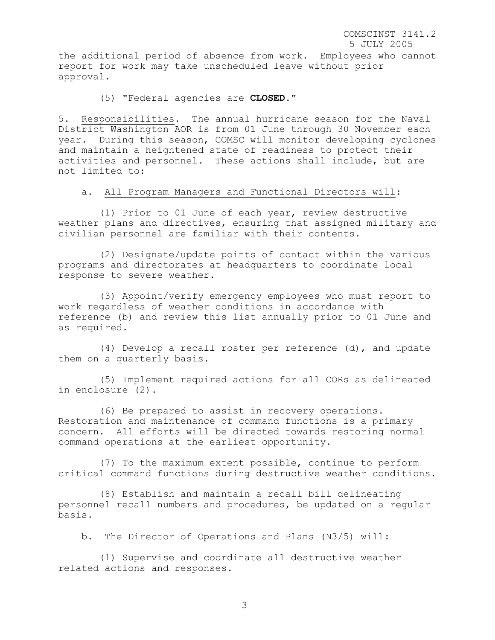COMSCINST 3141.2 5 JULY 2005 the additional period of absence from work. Employees who cannot report for work may take unscheduled leave without prior approval.

(5) "Federal agencies are **CLOSED**."

5. Responsibilities. The annual hurricane season for the Naval District Washington AOR is from 01 June through 30 November each year. During this season, COMSC will monitor developing cyclones and maintain a heightened state of readiness to protect their activities and personnel. These actions shall include, but are not limited to:

## a. All Program Managers and Functional Directors will:

 (1) Prior to 01 June of each year, review destructive weather plans and directives, ensuring that assigned military and civilian personnel are familiar with their contents.

 (2) Designate/update points of contact within the various programs and directorates at headquarters to coordinate local response to severe weather.

 (3) Appoint/verify emergency employees who must report to work regardless of weather conditions in accordance with reference (b) and review this list annually prior to 01 June and as required.

 (4) Develop a recall roster per reference (d), and update them on a quarterly basis.

 (5) Implement required actions for all CORs as delineated in enclosure (2).

 (6) Be prepared to assist in recovery operations. Restoration and maintenance of command functions is a primary concern. All efforts will be directed towards restoring normal command operations at the earliest opportunity.

 (7) To the maximum extent possible, continue to perform critical command functions during destructive weather conditions.

 (8) Establish and maintain a recall bill delineating personnel recall numbers and procedures, be updated on a regular basis.

b. The Director of Operations and Plans (N3/5) will:

 (1) Supervise and coordinate all destructive weather related actions and responses.

3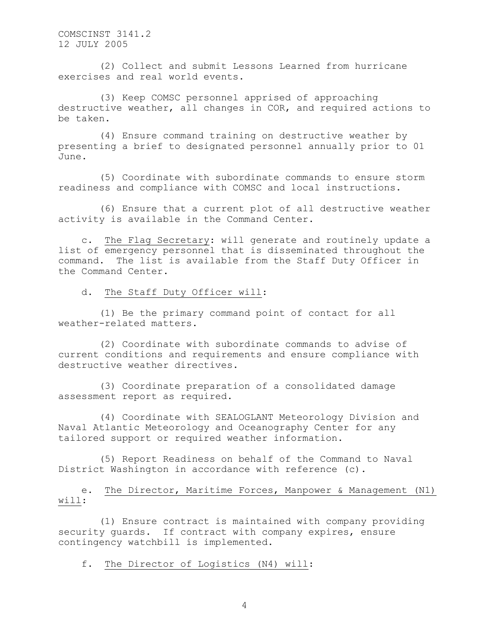COMSCINST 3141.2 12 JULY 2005

 (2) Collect and submit Lessons Learned from hurricane exercises and real world events.

 (3) Keep COMSC personnel apprised of approaching destructive weather, all changes in COR, and required actions to be taken.

 (4) Ensure command training on destructive weather by presenting a brief to designated personnel annually prior to 01 June.

 (5) Coordinate with subordinate commands to ensure storm readiness and compliance with COMSC and local instructions.

 (6) Ensure that a current plot of all destructive weather activity is available in the Command Center.

c. The Flag Secretary: will generate and routinely update a list of emergency personnel that is disseminated throughout the command. The list is available from the Staff Duty Officer in the Command Center.

d. The Staff Duty Officer will:

 (1) Be the primary command point of contact for all weather-related matters.

 (2) Coordinate with subordinate commands to advise of current conditions and requirements and ensure compliance with destructive weather directives.

 (3) Coordinate preparation of a consolidated damage assessment report as required.

 (4) Coordinate with SEALOGLANT Meteorology Division and Naval Atlantic Meteorology and Oceanography Center for any tailored support or required weather information.

 (5) Report Readiness on behalf of the Command to Naval District Washington in accordance with reference (c).

e. The Director, Maritime Forces, Manpower & Management (N1) will:

 (1) Ensure contract is maintained with company providing security guards. If contract with company expires, ensure contingency watchbill is implemented.

f. The Director of Logistics (N4) will:

4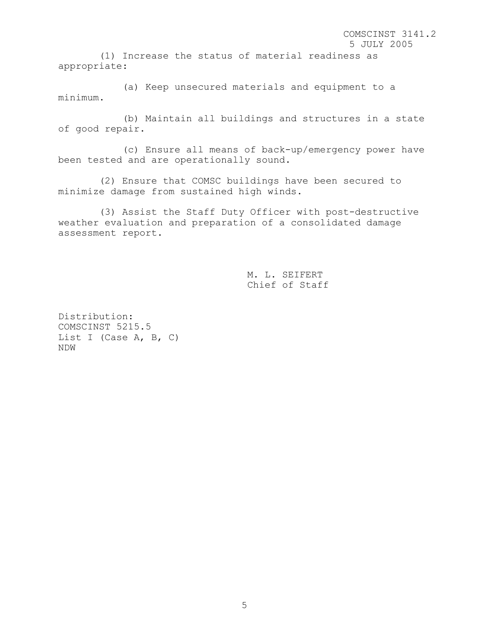## COMSCINST 3141.2 5 JULY 2005

 (1) Increase the status of material readiness as appropriate:

 (a) Keep unsecured materials and equipment to a minimum.

 (b) Maintain all buildings and structures in a state of good repair.

 (c) Ensure all means of back-up/emergency power have been tested and are operationally sound.

 (2) Ensure that COMSC buildings have been secured to minimize damage from sustained high winds.

 (3) Assist the Staff Duty Officer with post-destructive weather evaluation and preparation of a consolidated damage assessment report.

> M. L. SEIFERT Chief of Staff

Distribution: COMSCINST 5215.5 List I (Case A, B, C) NDW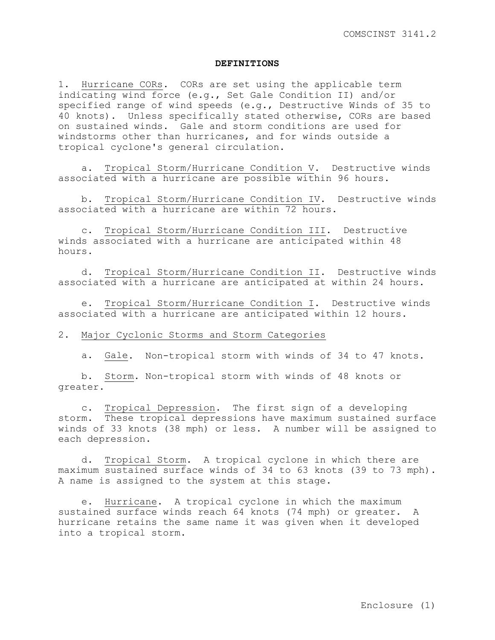#### **DEFINITIONS**

1. Hurricane CORs. CORs are set using the applicable term indicating wind force (e.g., Set Gale Condition II) and/or specified range of wind speeds (e.g., Destructive Winds of 35 to 40 knots). Unless specifically stated otherwise, CORs are based on sustained winds. Gale and storm conditions are used for windstorms other than hurricanes, and for winds outside a tropical cyclone's general circulation.

Tropical Storm/Hurricane Condition V. Destructive winds associated with a hurricane are possible within 96 hours.

b. Tropical Storm/Hurricane Condition IV. Destructive winds associated with a hurricane are within 72 hours.

c. Tropical Storm/Hurricane Condition III. Destructive winds associated with a hurricane are anticipated within 48 hours.

d. Tropical Storm/Hurricane Condition II. Destructive winds associated with a hurricane are anticipated at within 24 hours.

e. Tropical Storm/Hurricane Condition I. Destructive winds associated with a hurricane are anticipated within 12 hours.

### 2. Major Cyclonic Storms and Storm Categories

a. Gale. Non-tropical storm with winds of 34 to 47 knots.

b. Storm. Non-tropical storm with winds of 48 knots or greater.

c. Tropical Depression. The first sign of a developing storm. These tropical depressions have maximum sustained surface winds of 33 knots (38 mph) or less. A number will be assigned to each depression.

d. Tropical Storm. A tropical cyclone in which there are maximum sustained surface winds of 34 to 63 knots (39 to 73 mph). A name is assigned to the system at this stage.

e. Hurricane. A tropical cyclone in which the maximum sustained surface winds reach 64 knots (74 mph) or greater. A hurricane retains the same name it was given when it developed into a tropical storm.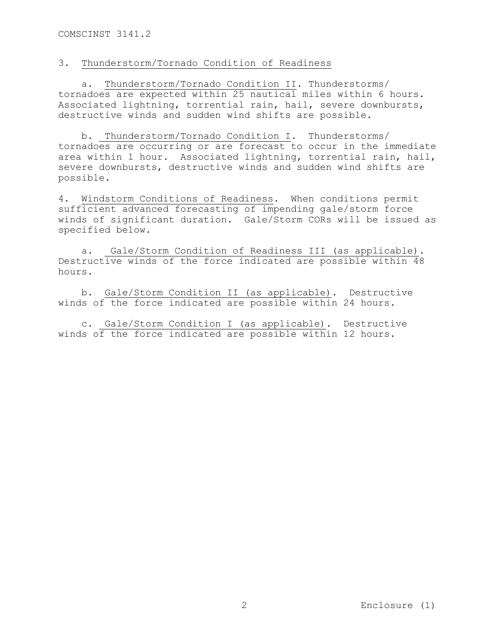COMSCINST 3141.2

## 3. Thunderstorm/Tornado Condition of Readiness

a. Thunderstorm/Tornado Condition II. Thunderstorms/ tornadoes are expected within 25 nautical miles within 6 hours. Associated lightning, torrential rain, hail, severe downbursts, destructive winds and sudden wind shifts are possible.

b. Thunderstorm/Tornado Condition I. Thunderstorms/ tornadoes are occurring or are forecast to occur in the immediate area within 1 hour. Associated lightning, torrential rain, hail, severe downbursts, destructive winds and sudden wind shifts are possible.

4. Windstorm Conditions of Readiness. When conditions permit sufficient advanced forecasting of impending gale/storm force winds of significant duration. Gale/Storm CORs will be issued as specified below.

a. Gale/Storm Condition of Readiness III (as applicable). Destructive winds of the force indicated are possible within 48 hours.

b. Gale/Storm Condition II (as applicable). Destructive winds of the force indicated are possible within 24 hours.

c. Gale/Storm Condition I (as applicable). Destructive winds of the force indicated are possible within 12 hours.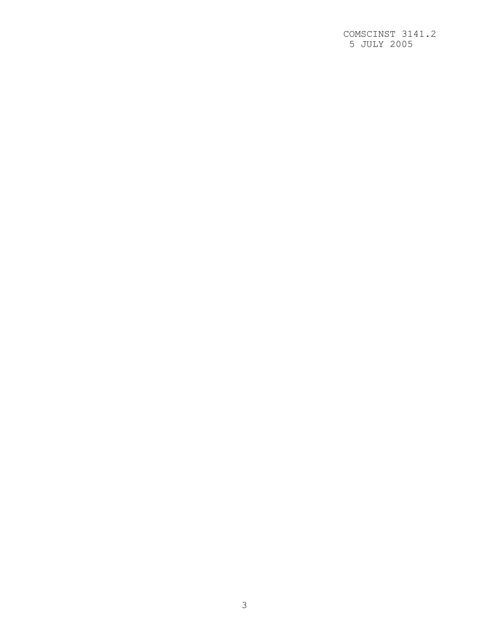COMSCINST 3141.2 5 JULY 2005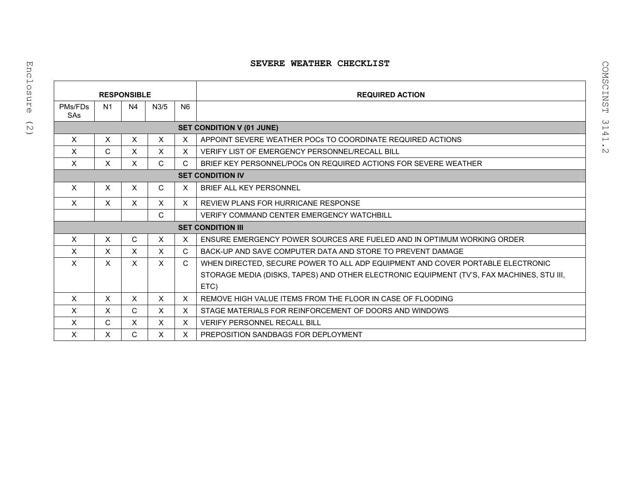| SEVERE WEATHER CHECKLIST |                |                |                   |                |                                                                                           |  |  |  |  |
|--------------------------|----------------|----------------|-------------------|----------------|-------------------------------------------------------------------------------------------|--|--|--|--|
| <b>RESPONSIBLE</b>       |                |                |                   |                | <b>REQUIRED ACTION</b>                                                                    |  |  |  |  |
| PMs/FDs<br><b>SAs</b>    | N <sub>1</sub> | N <sub>4</sub> | N <sub>3</sub> /5 | N <sub>6</sub> |                                                                                           |  |  |  |  |
|                          |                |                |                   |                | <b>SET CONDITION V (01 JUNE)</b>                                                          |  |  |  |  |
| $\times$                 | X              | X              | X                 | $\times$       | APPOINT SEVERE WEATHER POCS TO COORDINATE REQUIRED ACTIONS                                |  |  |  |  |
| X                        | $\mathsf{C}$   | $\times$       | X.                | X              | <b>VERIFY LIST OF EMERGENCY PERSONNEL/RECALL BILL</b>                                     |  |  |  |  |
| X                        | $\mathsf{X}$   | $\mathsf{X}$   | C                 | $\Omega$       | BRIEF KEY PERSONNEL/POCs ON REQUIRED ACTIONS FOR SEVERE WEATHER                           |  |  |  |  |
| <b>SET CONDITION IV</b>  |                |                |                   |                |                                                                                           |  |  |  |  |
| $\times$                 | $\times$       | $\times$       | C                 | $\times$       | <b>BRIEF ALL KEY PERSONNEL</b>                                                            |  |  |  |  |
| $\times$                 | $\times$       | $\times$       | $\times$          | X              | <b>REVIEW PLANS FOR HURRICANE RESPONSE</b>                                                |  |  |  |  |
|                          |                |                | C                 |                | <b>VERIFY COMMAND CENTER EMERGENCY WATCHBILL</b>                                          |  |  |  |  |
|                          |                |                |                   |                | <b>SET CONDITION III</b>                                                                  |  |  |  |  |
| $\times$                 | X              | $\mathsf{C}$   | X                 | $\times$       | ENSURE EMERGENCY POWER SOURCES ARE FUELED AND IN OPTIMUM WORKING ORDER                    |  |  |  |  |
| $\times$                 | $\times$       | $\mathsf{X}$   | X.                | C              | BACK-UP AND SAVE COMPUTER DATA AND STORE TO PREVENT DAMAGE                                |  |  |  |  |
| $\times$                 | X              | $\mathsf{X}$   | X                 | C              | WHEN DIRECTED, SECURE POWER TO ALL ADP EQUIPMENT AND COVER PORTABLE ELECTRONIC            |  |  |  |  |
|                          |                |                |                   |                | STORAGE MEDIA (DISKS, TAPES) AND OTHER ELECTRONIC EQUIPMENT (TV'S, FAX MACHINES, STU III, |  |  |  |  |
|                          |                |                |                   |                | ETC)                                                                                      |  |  |  |  |
| $\times$                 | X              | $\times$       | X                 | $\times$       | REMOVE HIGH VALUE ITEMS FROM THE FLOOR IN CASE OF FLOODING                                |  |  |  |  |
| $\times$                 | X              | C              | X.                | $\times$       | STAGE MATERIALS FOR REINFORCEMENT OF DOORS AND WINDOWS                                    |  |  |  |  |
| $\times$                 | $\mathsf{C}$   | $\times$       | X                 | X              | <b>VERIFY PERSONNEL RECALL BILL</b>                                                       |  |  |  |  |
| X                        | X              | $\mathcal{C}$  | X                 | X              | PREPOSITION SANDBAGS FOR DEPLOYMENT                                                       |  |  |  |  |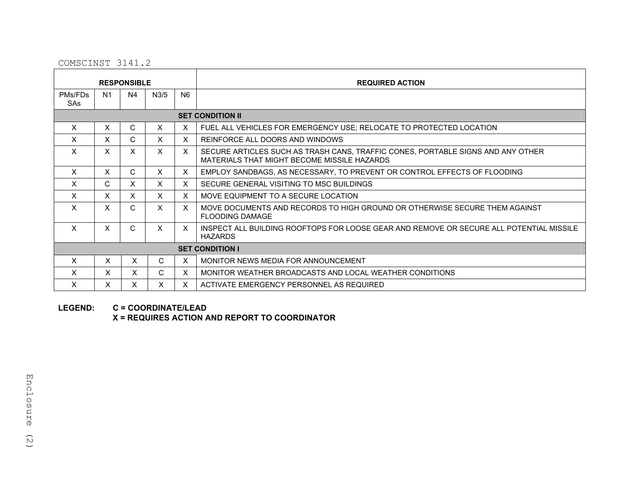#### COMSCINST 3141.2

|                         |          | <b>RESPONSIBLE</b> |              |                           | <b>REQUIRED ACTION</b>                                                                                                         |  |  |  |  |
|-------------------------|----------|--------------------|--------------|---------------------------|--------------------------------------------------------------------------------------------------------------------------------|--|--|--|--|
| PMs/FDs<br><b>SAs</b>   | N1       | N <sub>4</sub>     | N3/5         | N <sub>6</sub>            |                                                                                                                                |  |  |  |  |
| <b>SET CONDITION II</b> |          |                    |              |                           |                                                                                                                                |  |  |  |  |
| X                       | $\times$ | C                  | x            | X                         | FUEL ALL VEHICLES FOR EMERGENCY USE; RELOCATE TO PROTECTED LOCATION                                                            |  |  |  |  |
| X                       | $\times$ | C.                 | X.           | $\times$                  | REINFORCE ALL DOORS AND WINDOWS                                                                                                |  |  |  |  |
| X                       | X        | X.                 | X            | $\times$                  | SECURE ARTICLES SUCH AS TRASH CANS, TRAFFIC CONES, PORTABLE SIGNS AND ANY OTHER<br>MATERIALS THAT MIGHT BECOME MISSILE HAZARDS |  |  |  |  |
| $\mathsf{x}$            | $\times$ | C                  | $\mathsf{x}$ | $\boldsymbol{\mathsf{X}}$ | EMPLOY SANDBAGS, AS NECESSARY, TO PREVENT OR CONTROL EFFECTS OF FLOODING                                                       |  |  |  |  |
| $\times$                | C        | X.                 | $\times$     | $\times$                  | SECURE GENERAL VISITING TO MSC BUILDINGS                                                                                       |  |  |  |  |
| X                       | $\times$ | $\times$           | $\times$     | $\times$                  | MOVE EQUIPMENT TO A SECURE LOCATION                                                                                            |  |  |  |  |
| $\times$                | $\times$ | C                  | $\times$     | $\times$                  | MOVE DOCUMENTS AND RECORDS TO HIGH GROUND OR OTHERWISE SECURE THEM AGAINST<br><b>FLOODING DAMAGE</b>                           |  |  |  |  |
| $\times$                | $\times$ | C                  | $\times$     | $\boldsymbol{\mathsf{X}}$ | INSPECT ALL BUILDING ROOFTOPS FOR LOOSE GEAR AND REMOVE OR SECURE ALL POTENTIAL MISSILE<br><b>HAZARDS</b>                      |  |  |  |  |
| <b>SET CONDITION I</b>  |          |                    |              |                           |                                                                                                                                |  |  |  |  |
| $\times$                | $\times$ | X                  | C.           | $\times$                  | MONITOR NEWS MEDIA FOR ANNOUNCEMENT                                                                                            |  |  |  |  |
| X                       | X.       | $\times$           | C.           | X                         | MONITOR WEATHER BROADCASTS AND LOCAL WEATHER CONDITIONS                                                                        |  |  |  |  |
| $\times$                | X.       | X                  | $\times$     | X                         | ACTIVATE EMERGENCY PERSONNEL AS REQUIRED                                                                                       |  |  |  |  |

# **LEGEND: C = COORDINATE/LEAD**

**X = REQUIRES ACTION AND REPORT TO COORDINATOR**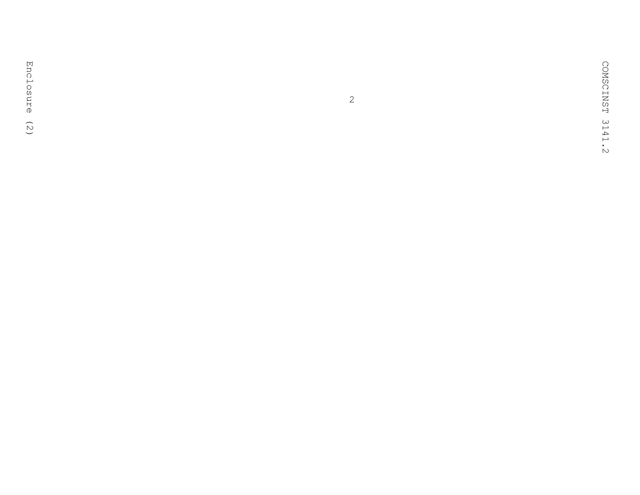Enclosure (2) Enclosure (2)

COMSCINST 3141.2 2